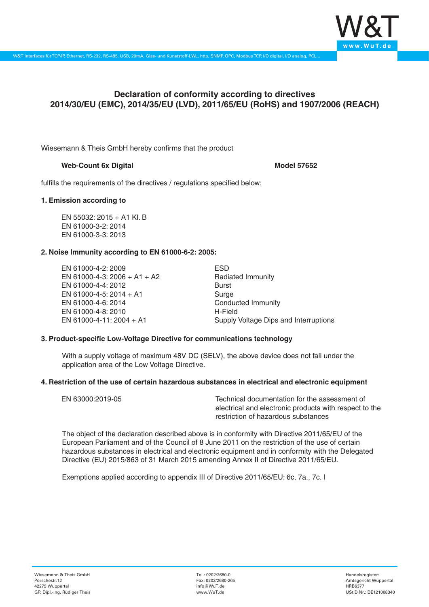

# **Declaration of conformity according to directives 2014/30/EU (EMC), 2014/35/EU (LVD), 2011/65/EU (RoHS) and 1907/2006 (REACH)**

Wiesemann & Theis GmbH hereby confirms that the product

## **Web-Count 6x Digital Model 57652**

fulfills the requirements of the directives / regulations specified below:

### **1. Emission according to**

EN 55032: 2015 + A1 Kl. B EN 61000-3-2: 2014 EN 61000-3-3: 2013

## **2. Noise Immunity according to EN 61000-6-2: 2005:**

EN 61000-4-2: 2009 EN 61000-4-3: 2006 + A1 + A2 EN 61000-4-4: 2012 EN 61000-4-5: 2014 + A1 EN 61000-4-6: 2014 EN 61000-4-8: 2010 EN 61000-4-11: 2004 + A1

ESD Radiated Immunity Burst Surge Conducted Immunity H-Field Supply Voltage Dips and Interruptions

## **3. Product-specific Low-Voltage Directive for communications technology**

With a supply voltage of maximum 48V DC (SELV), the above device does not fall under the application area of the Low Voltage Directive.

#### **4. Restriction of the use of certain hazardous substances in electrical and electronic equipment**

| EN 63000:2019-05 | Technical documentation for the assessment of          |
|------------------|--------------------------------------------------------|
|                  | electrical and electronic products with respect to the |
|                  | restriction of hazardous substances                    |

The object of the declaration described above is in conformity with Directive 2011/65/EU of the European Parliament and of the Council of 8 June 2011 on the restriction of the use of certain hazardous substances in electrical and electronic equipment and in conformity with the Delegated Directive (EU) 2015/863 of 31 March 2015 amending Annex II of Directive 2011/65/EU.

Exemptions applied according to appendix III of Directive 2011/65/EU: 6c, 7a., 7c. I